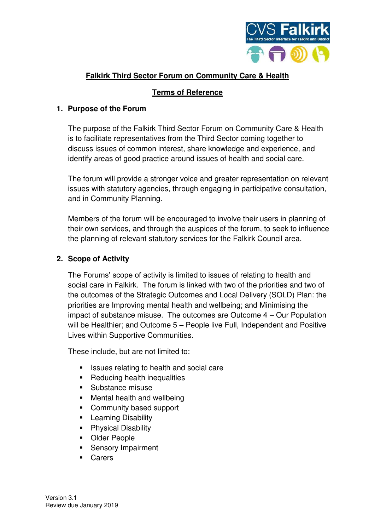

# **Falkirk Third Sector Forum on Community Care & Health**

### **Terms of Reference**

### **1. Purpose of the Forum**

The purpose of the Falkirk Third Sector Forum on Community Care & Health is to facilitate representatives from the Third Sector coming together to discuss issues of common interest, share knowledge and experience, and identify areas of good practice around issues of health and social care.

The forum will provide a stronger voice and greater representation on relevant issues with statutory agencies, through engaging in participative consultation, and in Community Planning.

Members of the forum will be encouraged to involve their users in planning of their own services, and through the auspices of the forum, to seek to influence the planning of relevant statutory services for the Falkirk Council area.

### **2. Scope of Activity**

The Forums' scope of activity is limited to issues of relating to health and social care in Falkirk. The forum is linked with two of the priorities and two of the outcomes of the Strategic Outcomes and Local Delivery (SOLD) Plan: the priorities are Improving mental health and wellbeing; and Minimising the impact of substance misuse. The outcomes are Outcome 4 – Our Population will be Healthier; and Outcome 5 – People live Full, Independent and Positive Lives within Supportive Communities.

These include, but are not limited to:

- Issues relating to health and social care
- Reducing health inequalities
- Substance misuse
- Mental health and wellbeing
- Community based support
- **E** Learning Disability
- **Physical Disability**
- Older People
- **Sensory Impairment**
- Carers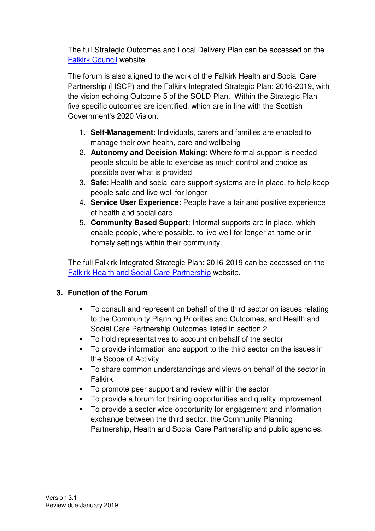The full Strategic Outcomes and Local Delivery Plan can be accessed on the [Falkirk Council](http://www.falkirk.gov.uk/services/council-democracy/policies-strategies/docs/community-planning/The%20Strategic%20Outcomes%20and%20Local%20Delivery%20Plan%202016%20-%202020.pdf?v=201610181532) website.

The forum is also aligned to the work of the Falkirk Health and Social Care Partnership (HSCP) and the Falkirk Integrated Strategic Plan: 2016-2019, with the vision echoing Outcome 5 of the SOLD Plan. Within the Strategic Plan five specific outcomes are identified, which are in line with the Scottish Government's 2020 Vision:

- 1. **Self-Management**: Individuals, carers and families are enabled to manage their own health, care and wellbeing
- 2. **Autonomy and Decision Making**: Where formal support is needed people should be able to exercise as much control and choice as possible over what is provided
- 3. **Safe**: Health and social care support systems are in place, to help keep people safe and live well for longer
- 4. **Service User Experience**: People have a fair and positive experience of health and social care
- 5. **Community Based Support**: Informal supports are in place, which enable people, where possible, to live well for longer at home or in homely settings within their community.

The full Falkirk Integrated Strategic Plan: 2016-2019 can be accessed on the [Falkirk Health and Social Care Partnership](https://falkirkhscp.org/wp-content/uploads/sites/9/2018/01/Strategic-Plan-2016-19.pdf) website.

## **3. Function of the Forum**

- To consult and represent on behalf of the third sector on issues relating to the Community Planning Priorities and Outcomes, and Health and Social Care Partnership Outcomes listed in section 2
- To hold representatives to account on behalf of the sector
- To provide information and support to the third sector on the issues in the Scope of Activity
- To share common understandings and views on behalf of the sector in Falkirk
- To promote peer support and review within the sector
- To provide a forum for training opportunities and quality improvement
- To provide a sector wide opportunity for engagement and information exchange between the third sector, the Community Planning Partnership, Health and Social Care Partnership and public agencies.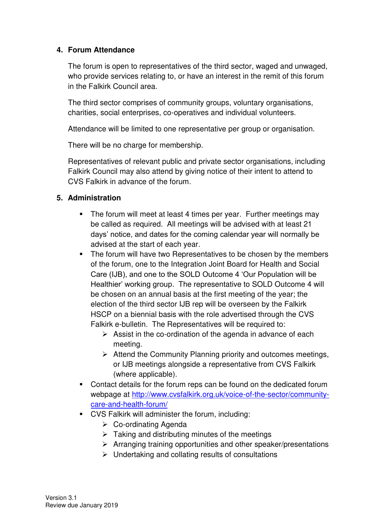#### **4. Forum Attendance**

The forum is open to representatives of the third sector, waged and unwaged, who provide services relating to, or have an interest in the remit of this forum in the Falkirk Council area.

The third sector comprises of community groups, voluntary organisations, charities, social enterprises, co-operatives and individual volunteers.

Attendance will be limited to one representative per group or organisation.

There will be no charge for membership.

Representatives of relevant public and private sector organisations, including Falkirk Council may also attend by giving notice of their intent to attend to CVS Falkirk in advance of the forum.

## **5. Administration**

- The forum will meet at least 4 times per year. Further meetings may be called as required. All meetings will be advised with at least 21 days' notice, and dates for the coming calendar year will normally be advised at the start of each year.
- The forum will have two Representatives to be chosen by the members of the forum, one to the Integration Joint Board for Health and Social Care (IJB), and one to the SOLD Outcome 4 'Our Population will be Healthier' working group. The representative to SOLD Outcome 4 will be chosen on an annual basis at the first meeting of the year; the election of the third sector IJB rep will be overseen by the Falkirk HSCP on a biennial basis with the role advertised through the CVS Falkirk e-bulletin. The Representatives will be required to:
	- $\triangleright$  Assist in the co-ordination of the agenda in advance of each meeting.
	- ➢ Attend the Community Planning priority and outcomes meetings, or IJB meetings alongside a representative from CVS Falkirk (where applicable).
- Contact details for the forum reps can be found on the dedicated forum webpage at [http://www.cvsfalkirk.org.uk/voice-of-the-sector/community](http://www.cvsfalkirk.org.uk/voice-of-the-sector/community-care-and-health-forum/)[care-and-health-forum/](http://www.cvsfalkirk.org.uk/voice-of-the-sector/community-care-and-health-forum/)
- CVS Falkirk will administer the forum, including:
	- ➢ Co-ordinating Agenda
	- $\triangleright$  Taking and distributing minutes of the meetings
	- ➢ Arranging training opportunities and other speaker/presentations
	- $\triangleright$  Undertaking and collating results of consultations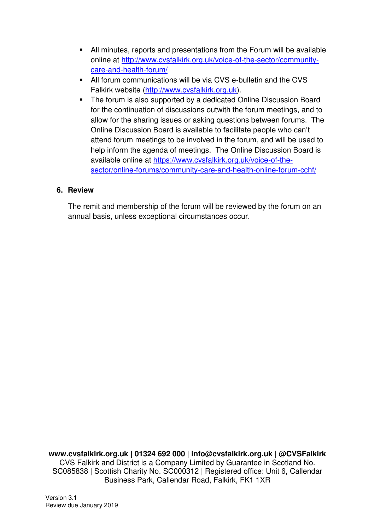- All minutes, reports and presentations from the Forum will be available online at [http://www.cvsfalkirk.org.uk/voice-of-the-sector/community](http://www.cvsfalkirk.org.uk/voice-of-the-sector/community-care-and-health-forum/)[care-and-health-forum/](http://www.cvsfalkirk.org.uk/voice-of-the-sector/community-care-and-health-forum/)
- All forum communications will be via CVS e-bulletin and the CVS Falkirk website [\(http://www.cvsfalkirk.org.uk\)](http://www.cvsfalkirk.org.uk/).
- The forum is also supported by a dedicated Online Discussion Board for the continuation of discussions outwith the forum meetings, and to allow for the sharing issues or asking questions between forums. The Online Discussion Board is available to facilitate people who can't attend forum meetings to be involved in the forum, and will be used to help inform the agenda of meetings. The Online Discussion Board is available online at [https://www.cvsfalkirk.org.uk/voice-of-the](https://www.cvsfalkirk.org.uk/voice-of-the-sector/online-forums/community-care-and-health-online-forum-cchf/)[sector/online-forums/community-care-and-health-online-forum-cchf/](https://www.cvsfalkirk.org.uk/voice-of-the-sector/online-forums/community-care-and-health-online-forum-cchf/)

#### **6. Review**

The remit and membership of the forum will be reviewed by the forum on an annual basis, unless exceptional circumstances occur.

**www.cvsfalkirk.org.uk | 01324 692 000 | info@cvsfalkirk.org.uk | @CVSFalkirk**  CVS Falkirk and District is a Company Limited by Guarantee in Scotland No. SC085838 | Scottish Charity No. SC000312 | Registered office: Unit 6, Callendar Business Park, Callendar Road, Falkirk, FK1 1XR